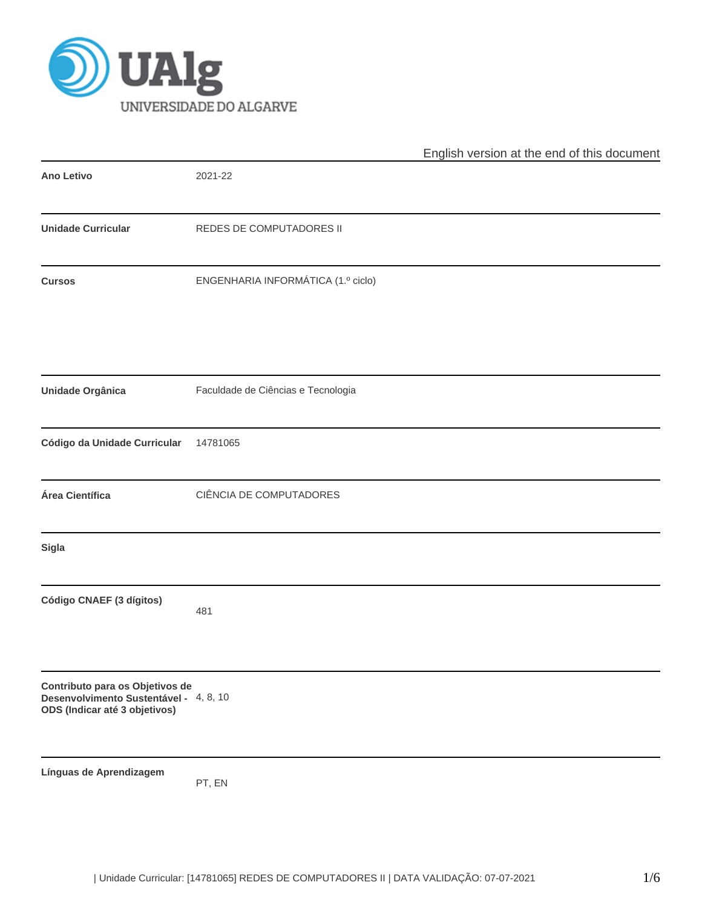

|                                                                                                            |                                    | English version at the end of this document |
|------------------------------------------------------------------------------------------------------------|------------------------------------|---------------------------------------------|
| <b>Ano Letivo</b>                                                                                          | 2021-22                            |                                             |
| <b>Unidade Curricular</b>                                                                                  | REDES DE COMPUTADORES II           |                                             |
| <b>Cursos</b>                                                                                              | ENGENHARIA INFORMÁTICA (1.º ciclo) |                                             |
| Unidade Orgânica                                                                                           | Faculdade de Ciências e Tecnologia |                                             |
| Código da Unidade Curricular                                                                               | 14781065                           |                                             |
| Área Científica                                                                                            | CIÊNCIA DE COMPUTADORES            |                                             |
| Sigla                                                                                                      |                                    |                                             |
| Código CNAEF (3 dígitos)                                                                                   | 481                                |                                             |
| Contributo para os Objetivos de<br>Desenvolvimento Sustentável - 4, 8, 10<br>ODS (Indicar até 3 objetivos) |                                    |                                             |
| Línguas de Aprendizagem                                                                                    | PT, EN                             |                                             |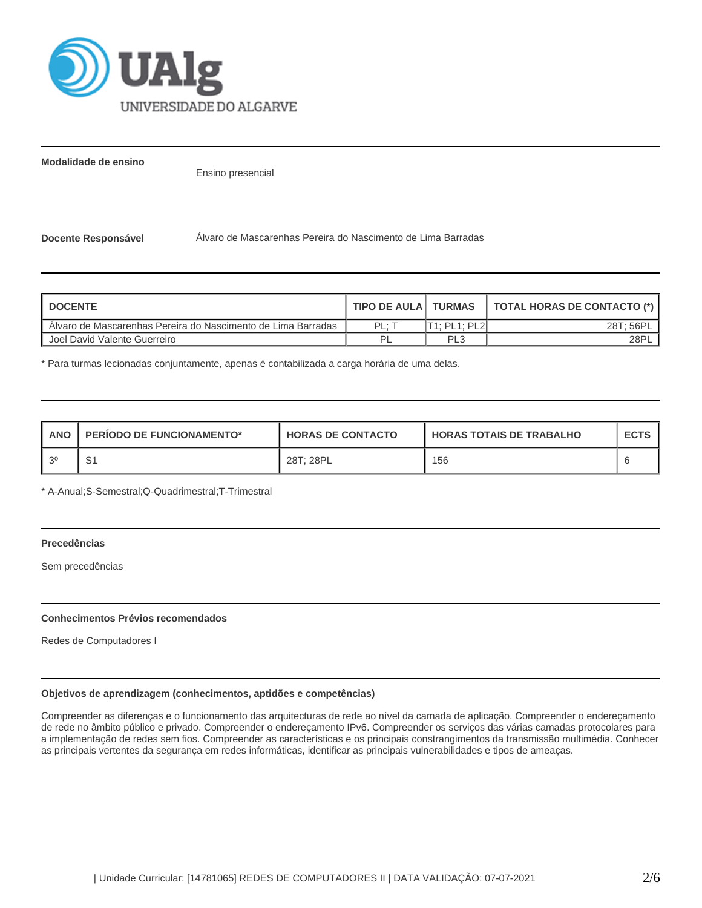

**Modalidade de ensino**

Ensino presencial

**Docente Responsável** Álvaro de Mascarenhas Pereira do Nascimento de Lima Barradas

| I DOCENTE                                                    | <b>TIPO DE AULA I TURMAS</b> |                | TOTAL HORAS DE CONTACTO (*) |
|--------------------------------------------------------------|------------------------------|----------------|-----------------------------|
| Alvaro de Mascarenhas Pereira do Nascimento de Lima Barradas | PL: T                        | IT1: PL1: PL2I | 28T; 56PL                   |
| l Joel David Valente Guerreiro                               | ים                           | PL3            | 28PL                        |

\* Para turmas lecionadas conjuntamente, apenas é contabilizada a carga horária de uma delas.

| <b>ANO</b> | <b>PERIODO DE FUNCIONAMENTO*</b> | <b>HORAS DE CONTACTO</b> | <b>HORAS TOTAIS DE TRABALHO</b> | <b>ECTS</b> |
|------------|----------------------------------|--------------------------|---------------------------------|-------------|
| , ၁၀       | ັ                                | 28T: 28PL                | 156                             |             |

\* A-Anual;S-Semestral;Q-Quadrimestral;T-Trimestral

## **Precedências**

Sem precedências

## **Conhecimentos Prévios recomendados**

Redes de Computadores I

# **Objetivos de aprendizagem (conhecimentos, aptidões e competências)**

Compreender as diferenças e o funcionamento das arquitecturas de rede ao nível da camada de aplicação. Compreender o endereçamento de rede no âmbito público e privado. Compreender o endereçamento IPv6. Compreender os serviços das várias camadas protocolares para a implementação de redes sem fios. Compreender as características e os principais constrangimentos da transmissão multimédia. Conhecer as principais vertentes da segurança em redes informáticas, identificar as principais vulnerabilidades e tipos de ameaças.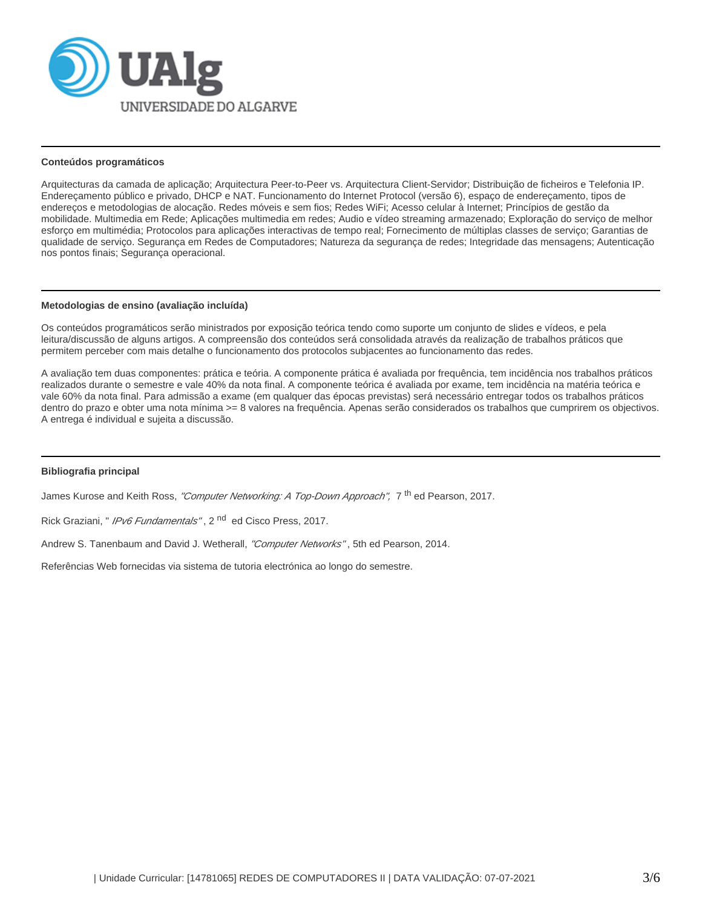

#### **Conteúdos programáticos**

Arquitecturas da camada de aplicação; Arquitectura Peer-to-Peer vs. Arquitectura Client-Servidor; Distribuição de ficheiros e Telefonia IP. Endereçamento público e privado, DHCP e NAT. Funcionamento do Internet Protocol (versão 6), espaço de endereçamento, tipos de endereços e metodologias de alocação. Redes móveis e sem fios; Redes WiFi; Acesso celular à Internet; Princípios de gestão da mobilidade. Multimedia em Rede; Aplicações multimedia em redes; Audio e vídeo streaming armazenado; Exploração do serviço de melhor esforço em multimédia; Protocolos para aplicações interactivas de tempo real; Fornecimento de múltiplas classes de serviço; Garantias de qualidade de serviço. Segurança em Redes de Computadores; Natureza da segurança de redes; Integridade das mensagens; Autenticação nos pontos finais; Segurança operacional.

#### **Metodologias de ensino (avaliação incluída)**

Os conteúdos programáticos serão ministrados por exposição teórica tendo como suporte um conjunto de slides e vídeos, e pela leitura/discussão de alguns artigos. A compreensão dos conteúdos será consolidada através da realização de trabalhos práticos que permitem perceber com mais detalhe o funcionamento dos protocolos subjacentes ao funcionamento das redes.

A avaliação tem duas componentes: prática e teória. A componente prática é avaliada por frequência, tem incidência nos trabalhos práticos realizados durante o semestre e vale 40% da nota final. A componente teórica é avaliada por exame, tem incidência na matéria teórica e vale 60% da nota final. Para admissão a exame (em qualquer das épocas previstas) será necessário entregar todos os trabalhos práticos dentro do prazo e obter uma nota mínima >= 8 valores na frequência. Apenas serão considerados os trabalhos que cumprirem os objectivos. A entrega é individual e sujeita a discussão.

## **Bibliografia principal**

James Kurose and Keith Ross, "Computer Networking: A Top-Down Approach", 7 <sup>th</sup> ed Pearson, 2017.

Rick Graziani, " *IPv6 Fundamentals"*, 2<sup>nd</sup> ed Cisco Press, 2017.

Andrew S. Tanenbaum and David J. Wetherall, "Computer Networks", 5th ed Pearson, 2014.

Referências Web fornecidas via sistema de tutoria electrónica ao longo do semestre.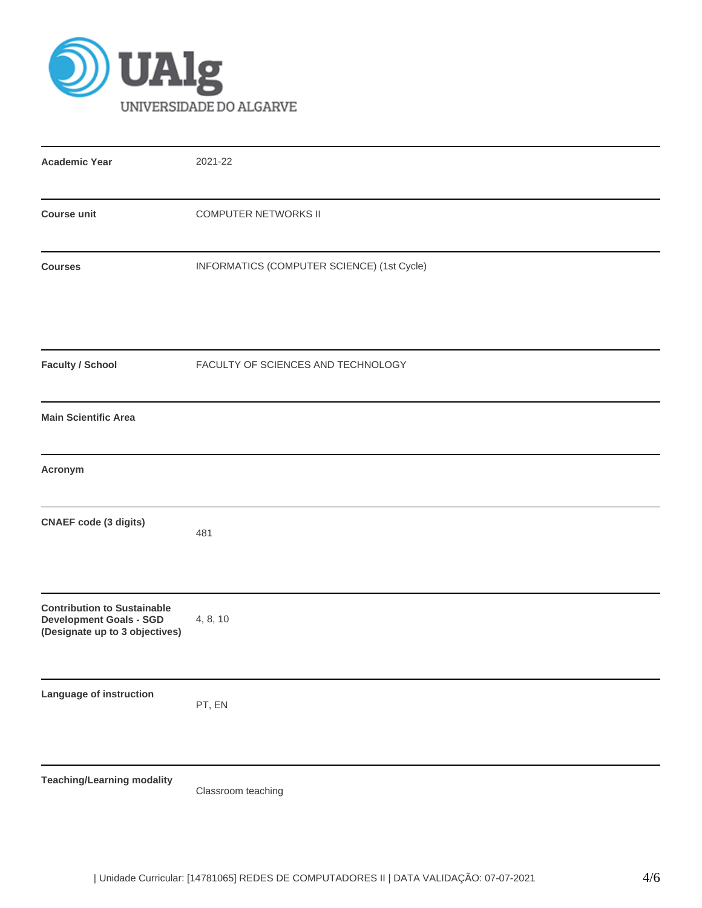

| <b>Academic Year</b>                                                                                   | 2021-22                                    |  |  |  |  |  |  |
|--------------------------------------------------------------------------------------------------------|--------------------------------------------|--|--|--|--|--|--|
| <b>COMPUTER NETWORKS II</b><br><b>Course unit</b>                                                      |                                            |  |  |  |  |  |  |
| <b>Courses</b>                                                                                         | INFORMATICS (COMPUTER SCIENCE) (1st Cycle) |  |  |  |  |  |  |
| <b>Faculty / School</b>                                                                                | FACULTY OF SCIENCES AND TECHNOLOGY         |  |  |  |  |  |  |
| <b>Main Scientific Area</b>                                                                            |                                            |  |  |  |  |  |  |
| Acronym                                                                                                |                                            |  |  |  |  |  |  |
| <b>CNAEF</b> code (3 digits)                                                                           | 481                                        |  |  |  |  |  |  |
| <b>Contribution to Sustainable</b><br><b>Development Goals - SGD</b><br>(Designate up to 3 objectives) | 4, 8, 10                                   |  |  |  |  |  |  |
| Language of instruction                                                                                | PT, EN                                     |  |  |  |  |  |  |
| <b>Teaching/Learning modality</b>                                                                      | Classroom teaching                         |  |  |  |  |  |  |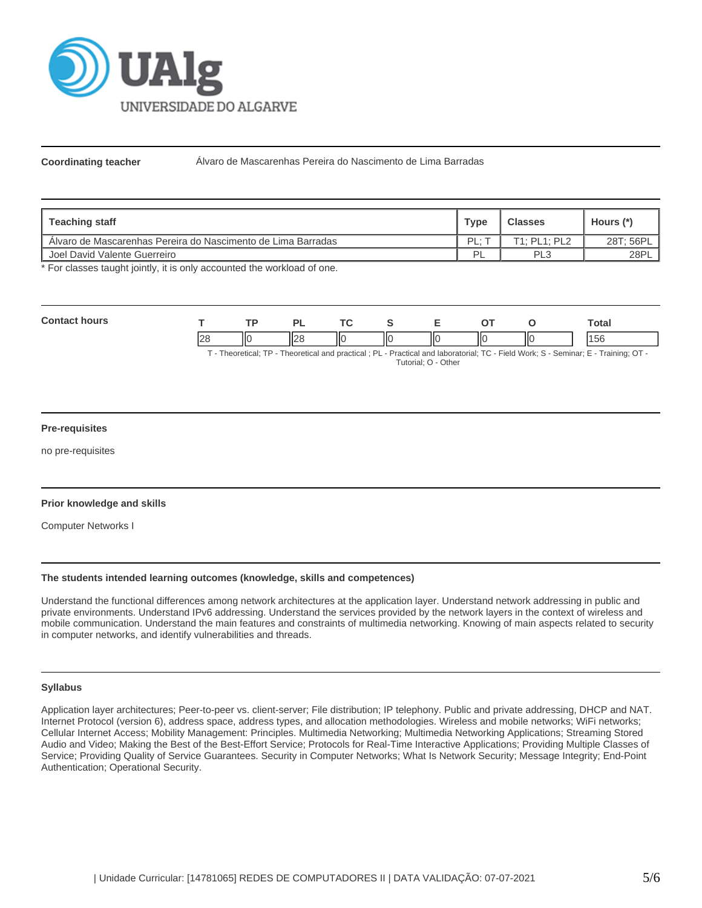

**Coordinating teacher** Álvaro de Mascarenhas Pereira do Nascimento de Lima Barradas

| Teaching staff                                               | <b>Type</b> | <b>Classes</b>       | Hours (*) |
|--------------------------------------------------------------|-------------|----------------------|-----------|
| Alvaro de Mascarenhas Pereira do Nascimento de Lima Barradas | PL:         | $T1.$ PI $1.$ PI $2$ | 28T; 56PL |
| Joel David Valente Guerreiro                                 | Þ           | PL3                  | 28PL      |

\* For classes taught jointly, it is only accounted the workload of one.

| $C_{\mathbf{Q}}$ |                |     | oı               |    |    | -                        |    |     |  | ⊺otal |  |
|------------------|----------------|-----|------------------|----|----|--------------------------|----|-----|--|-------|--|
|                  | $\Omega$<br>∠⊂ | IIС | II <sub>28</sub> | ١Ю | ΙЮ | $\overline{\phantom{a}}$ | IЮ | IІC |  | 56    |  |

T - Theoretical; TP - Theoretical and practical ; PL - Practical and laboratorial; TC - Field Work; S - Seminar; E - Training; OT - Tutorial; O - Other

## **Pre-requisites**

no pre-requisites

## **Prior knowledge and skills**

Computer Networks I

#### **The students intended learning outcomes (knowledge, skills and competences)**

Understand the functional differences among network architectures at the application layer. Understand network addressing in public and private environments. Understand IPv6 addressing. Understand the services provided by the network layers in the context of wireless and mobile communication. Understand the main features and constraints of multimedia networking. Knowing of main aspects related to security in computer networks, and identify vulnerabilities and threads.

#### **Syllabus**

Application layer architectures; Peer-to-peer vs. client-server; File distribution; IP telephony. Public and private addressing, DHCP and NAT. Internet Protocol (version 6), address space, address types, and allocation methodologies. Wireless and mobile networks; WiFi networks; Cellular Internet Access; Mobility Management: Principles. Multimedia Networking; Multimedia Networking Applications; Streaming Stored Audio and Video; Making the Best of the Best-Effort Service; Protocols for Real-Time Interactive Applications; Providing Multiple Classes of Service; Providing Quality of Service Guarantees. Security in Computer Networks; What Is Network Security; Message Integrity; End-Point Authentication; Operational Security.